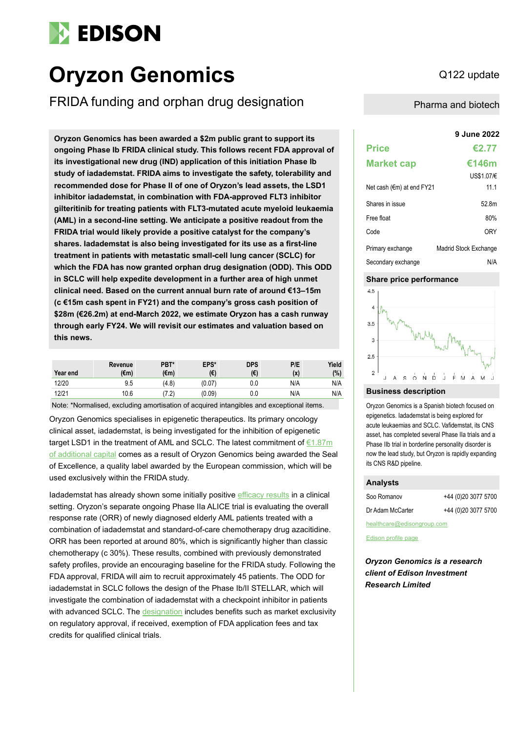# **EDISON**

# **Oryzon Genomics** Q122 update

FRIDA funding and orphan drug designation **Pharma and biotech** Pharma and biotech

**9 June 2022 Oryzon Genomics has been awarded a \$2m public grant to support its ongoing Phase Ib FRIDA clinical study. This follows recent FDA approval of its investigational new drug (IND) application of this initiation Phase Ib study of iadademstat. FRIDA aims to investigate the safety, tolerability and recommended dose for Phase II of one of Oryzon's lead assets, the LSD1 inhibitor iadademstat, in combination with FDA-approved FLT3 inhibitor gilteritinib for treating patients with FLT3-mutated acute myeloid leukaemia (AML) in a second-line setting. We anticipate a positive readout from the FRIDA trial would likely provide a positive catalyst for the company's shares. Iadademstat is also being investigated for its use as a first-line treatment in patients with metastatic small-cell lung cancer (SCLC) for which the FDA has now granted orphan drug designation (ODD). This ODD in SCLC will help expedite development in a further area of high unmet clinical need. Based on the current annual burn rate of around €13–15m (c €15m cash spent in FY21) and the company's gross cash position of \$28m (€26.2m) at end-March 2022, we estimate Oryzon has a cash runway through early FY24. We will revisit our estimates and valuation based on this news.**

| Year end | Revenue<br>(€m) | PBT*<br>$(\epsilon m)$ | EPS*<br>(€) | DPS<br>(€) | P/E<br>(x) | Yield<br>(%) |
|----------|-----------------|------------------------|-------------|------------|------------|--------------|
| 12/20    | 9.5             | (4.8)                  | (0.07)      | 0.0        | N/A        | N/A          |
| 12/21    | 10.6            | (7.2)                  | (0.09)      | 0.0        | N/A        | N/A          |

Note: \*Normalised, excluding amortisation of acquired intangibles and exceptional items.

Oryzon Genomics specialises in epigenetic therapeutics. Its primary oncology clinical asset, iadademstat, is being investigated for the inhibition of epigenetic target LSD1 in the treatment of AML and SCLC. The latest commitment of €1.87m [of additional capital](https://www.oryzon.com/en/news-events/news/oryzon-awarded-eu-seal-excellence-and-public-financing-2-m-usd-develop-iadademstat) comes as a result of Oryzon Genomics being awarded the Seal of Excellence, a quality label awarded by the European commission, which will be used exclusively within the FRIDA study.

Iadademstat has already shown some initially positive [efficacy results](https://www.edisongroup.com/wp-content/uploads/2021/06/Oryzon-Genomics-Large-response-benefit-consistent-in-ALICE-trial.pdf) in a clinical setting. Oryzon's separate ongoing Phase IIa ALICE trial is evaluating the overall response rate (ORR) of newly diagnosed elderly AML patients treated with a combination of iadademstat and standard-of-care chemotherapy drug azacitidine. ORR has been reported at around 80%, which is significantly higher than classic chemotherapy (c 30%). These results, combined with previously demonstrated safety profiles, provide an encouraging baseline for the FRIDA study. Following the FDA approval, FRIDA will aim to recruit approximately 45 patients. The ODD for iadademstat in SCLC follows the design of the Phase Ib/II STELLAR, which will investigate the combination of iadademstat with a checkpoint inhibitor in patients with advanced SCLC. The [designation](https://www.oryzon.com/en/news-events/news/oryzon-announces-fda-orphan-drug-designation-granted-iadademstat-treatment-small) includes benefits such as market exclusivity on regulatory approval, if received, exemption of FDA application fees and tax credits for qualified clinical trials.

| <b>Price</b>                         | €2.77                 |
|--------------------------------------|-----------------------|
| <b>Market cap</b>                    | €146m                 |
|                                      | US\$1.07/€            |
| Net cash ( $\epsilon$ m) at end FY21 | 11.1                  |
| Shares in issue                      | 52.8m                 |
| Free float                           | 80%                   |
| Code                                 | <b>ORY</b>            |
| Primary exchange                     | Madrid Stock Exchange |
| Secondary exchange                   | N/A                   |

# **Share price performance**



# **Business description**

Oryzon Genomics is a Spanish biotech focused on epigenetics. Iadademstat is being explored for acute leukaemias and SCLC. Vafidemstat, its CNS asset, has completed several Phase IIa trials and a Phase IIb trial in borderline personality disorder is now the lead study, but Oryzon is rapidly expanding its CNS R&D pipeline.

## **Analysts**

| Soo Romanov      | +44 (0)20 3077 5700 |  |  |
|------------------|---------------------|--|--|
| Dr Adam McCarter | +44 (0)20 3077 5700 |  |  |

healthcare@edisongroup.com

[Edison profile page](https://www.edisongroup.com/company/oryzon-genomics/)

*Oryzon Genomics is a research client of Edison Investment Research Limited*